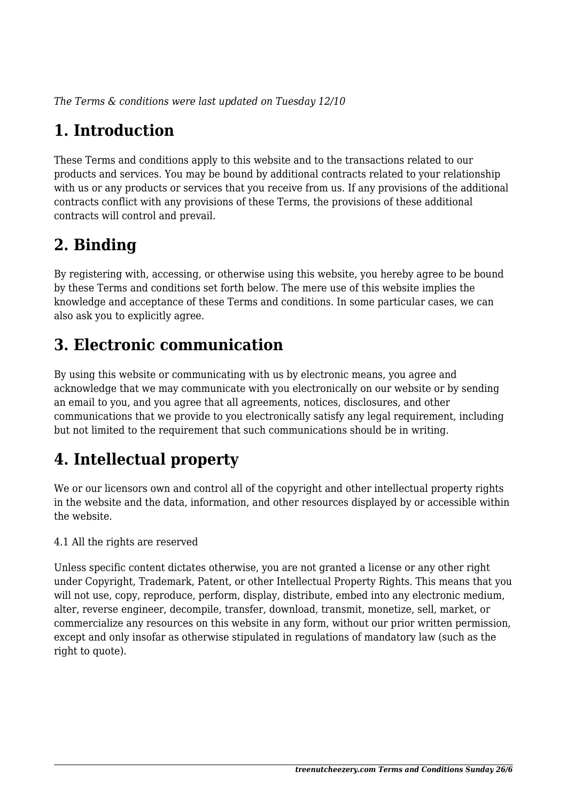*The Terms & conditions were last updated on Tuesday 12/10*

# **1. Introduction**

These Terms and conditions apply to this website and to the transactions related to our products and services. You may be bound by additional contracts related to your relationship with us or any products or services that you receive from us. If any provisions of the additional contracts conflict with any provisions of these Terms, the provisions of these additional contracts will control and prevail.

# **2. Binding**

By registering with, accessing, or otherwise using this website, you hereby agree to be bound by these Terms and conditions set forth below. The mere use of this website implies the knowledge and acceptance of these Terms and conditions. In some particular cases, we can also ask you to explicitly agree.

# **3. Electronic communication**

By using this website or communicating with us by electronic means, you agree and acknowledge that we may communicate with you electronically on our website or by sending an email to you, and you agree that all agreements, notices, disclosures, and other communications that we provide to you electronically satisfy any legal requirement, including but not limited to the requirement that such communications should be in writing.

# **4. Intellectual property**

We or our licensors own and control all of the copyright and other intellectual property rights in the website and the data, information, and other resources displayed by or accessible within the website.

4.1 All the rights are reserved

Unless specific content dictates otherwise, you are not granted a license or any other right under Copyright, Trademark, Patent, or other Intellectual Property Rights. This means that you will not use, copy, reproduce, perform, display, distribute, embed into any electronic medium, alter, reverse engineer, decompile, transfer, download, transmit, monetize, sell, market, or commercialize any resources on this website in any form, without our prior written permission, except and only insofar as otherwise stipulated in regulations of mandatory law (such as the right to quote).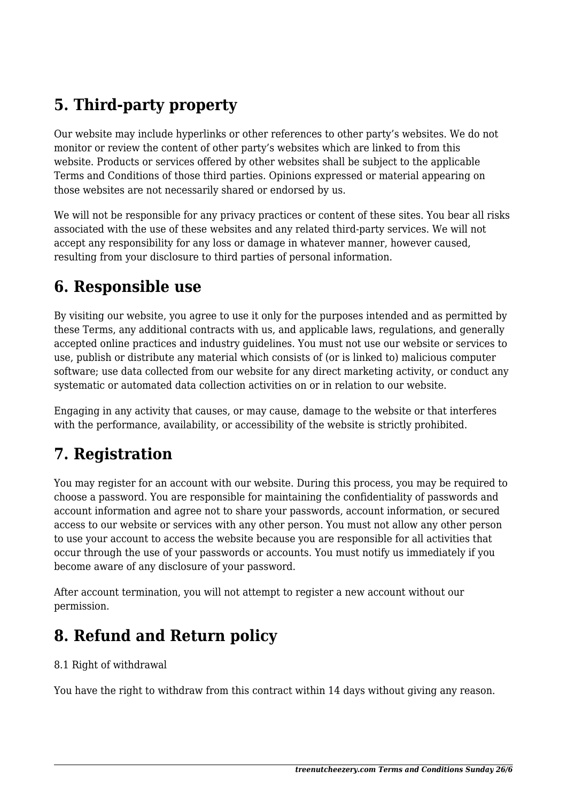# **5. Third-party property**

Our website may include hyperlinks or other references to other party's websites. We do not monitor or review the content of other party's websites which are linked to from this website. Products or services offered by other websites shall be subject to the applicable Terms and Conditions of those third parties. Opinions expressed or material appearing on those websites are not necessarily shared or endorsed by us.

We will not be responsible for any privacy practices or content of these sites. You bear all risks associated with the use of these websites and any related third-party services. We will not accept any responsibility for any loss or damage in whatever manner, however caused, resulting from your disclosure to third parties of personal information.

#### **6. Responsible use**

By visiting our website, you agree to use it only for the purposes intended and as permitted by these Terms, any additional contracts with us, and applicable laws, regulations, and generally accepted online practices and industry guidelines. You must not use our website or services to use, publish or distribute any material which consists of (or is linked to) malicious computer software; use data collected from our website for any direct marketing activity, or conduct any systematic or automated data collection activities on or in relation to our website.

Engaging in any activity that causes, or may cause, damage to the website or that interferes with the performance, availability, or accessibility of the website is strictly prohibited.

## **7. Registration**

You may register for an account with our website. During this process, you may be required to choose a password. You are responsible for maintaining the confidentiality of passwords and account information and agree not to share your passwords, account information, or secured access to our website or services with any other person. You must not allow any other person to use your account to access the website because you are responsible for all activities that occur through the use of your passwords or accounts. You must notify us immediately if you become aware of any disclosure of your password.

After account termination, you will not attempt to register a new account without our permission.

## **8. Refund and Return policy**

#### 8.1 Right of withdrawal

You have the right to withdraw from this contract within 14 days without giving any reason.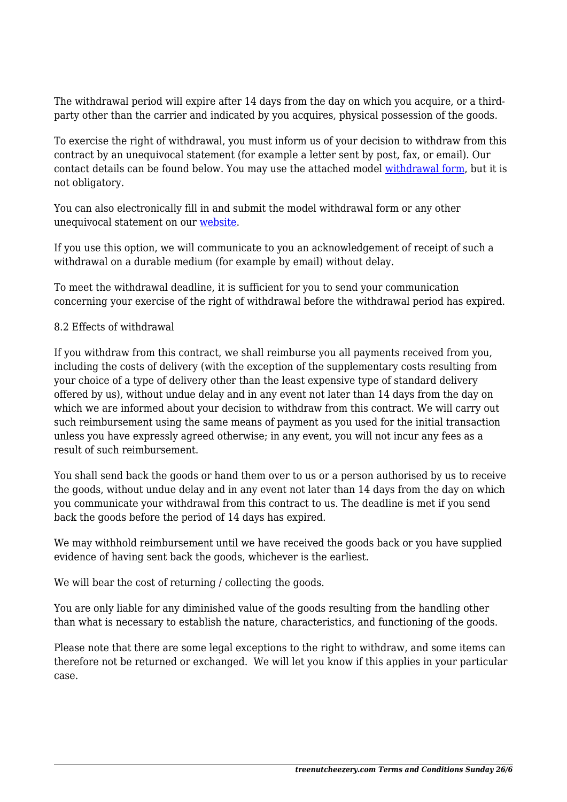The withdrawal period will expire after 14 days from the day on which you acquire, or a thirdparty other than the carrier and indicated by you acquires, physical possession of the goods.

To exercise the right of withdrawal, you must inform us of your decision to withdraw from this contract by an unequivocal statement (for example a letter sent by post, fax, or email). Our contact details can be found below. You may use the attached model [withdrawal form](https://treenutcheezery.com/wp-content/uploads/complianz/withdrawal-forms/withdrawal-form-en.pdf), but it is not obligatory.

You can also electronically fill in and submit the model withdrawal form or any other unequivocal statement on our [website](https://treenutcheezery.com/contact/).

If you use this option, we will communicate to you an acknowledgement of receipt of such a withdrawal on a durable medium (for example by email) without delay.

To meet the withdrawal deadline, it is sufficient for you to send your communication concerning your exercise of the right of withdrawal before the withdrawal period has expired.

#### 8.2 Effects of withdrawal

If you withdraw from this contract, we shall reimburse you all payments received from you, including the costs of delivery (with the exception of the supplementary costs resulting from your choice of a type of delivery other than the least expensive type of standard delivery offered by us), without undue delay and in any event not later than 14 days from the day on which we are informed about your decision to withdraw from this contract. We will carry out such reimbursement using the same means of payment as you used for the initial transaction unless you have expressly agreed otherwise; in any event, you will not incur any fees as a result of such reimbursement.

You shall send back the goods or hand them over to us or a person authorised by us to receive the goods, without undue delay and in any event not later than 14 days from the day on which you communicate your withdrawal from this contract to us. The deadline is met if you send back the goods before the period of 14 days has expired.

We may withhold reimbursement until we have received the goods back or you have supplied evidence of having sent back the goods, whichever is the earliest.

We will bear the cost of returning / collecting the goods.

You are only liable for any diminished value of the goods resulting from the handling other than what is necessary to establish the nature, characteristics, and functioning of the goods.

Please note that there are some legal exceptions to the right to withdraw, and some items can therefore not be returned or exchanged. We will let you know if this applies in your particular case.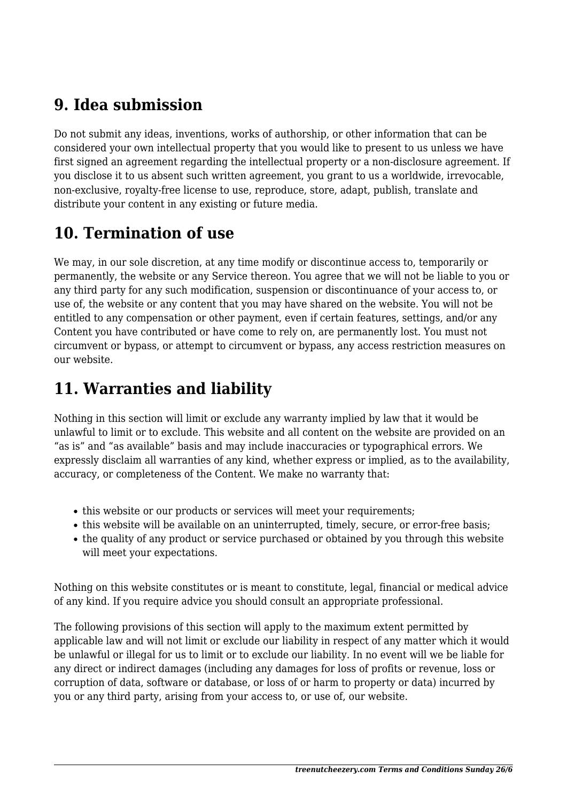## **9. Idea submission**

Do not submit any ideas, inventions, works of authorship, or other information that can be considered your own intellectual property that you would like to present to us unless we have first signed an agreement regarding the intellectual property or a non-disclosure agreement. If you disclose it to us absent such written agreement, you grant to us a worldwide, irrevocable, non-exclusive, royalty-free license to use, reproduce, store, adapt, publish, translate and distribute your content in any existing or future media.

# **10. Termination of use**

We may, in our sole discretion, at any time modify or discontinue access to, temporarily or permanently, the website or any Service thereon. You agree that we will not be liable to you or any third party for any such modification, suspension or discontinuance of your access to, or use of, the website or any content that you may have shared on the website. You will not be entitled to any compensation or other payment, even if certain features, settings, and/or any Content you have contributed or have come to rely on, are permanently lost. You must not circumvent or bypass, or attempt to circumvent or bypass, any access restriction measures on our website.

# **11. Warranties and liability**

Nothing in this section will limit or exclude any warranty implied by law that it would be unlawful to limit or to exclude. This website and all content on the website are provided on an "as is" and "as available" basis and may include inaccuracies or typographical errors. We expressly disclaim all warranties of any kind, whether express or implied, as to the availability, accuracy, or completeness of the Content. We make no warranty that:

- this website or our products or services will meet your requirements;
- this website will be available on an uninterrupted, timely, secure, or error-free basis;
- the quality of any product or service purchased or obtained by you through this website will meet your expectations.

Nothing on this website constitutes or is meant to constitute, legal, financial or medical advice of any kind. If you require advice you should consult an appropriate professional.

The following provisions of this section will apply to the maximum extent permitted by applicable law and will not limit or exclude our liability in respect of any matter which it would be unlawful or illegal for us to limit or to exclude our liability. In no event will we be liable for any direct or indirect damages (including any damages for loss of profits or revenue, loss or corruption of data, software or database, or loss of or harm to property or data) incurred by you or any third party, arising from your access to, or use of, our website.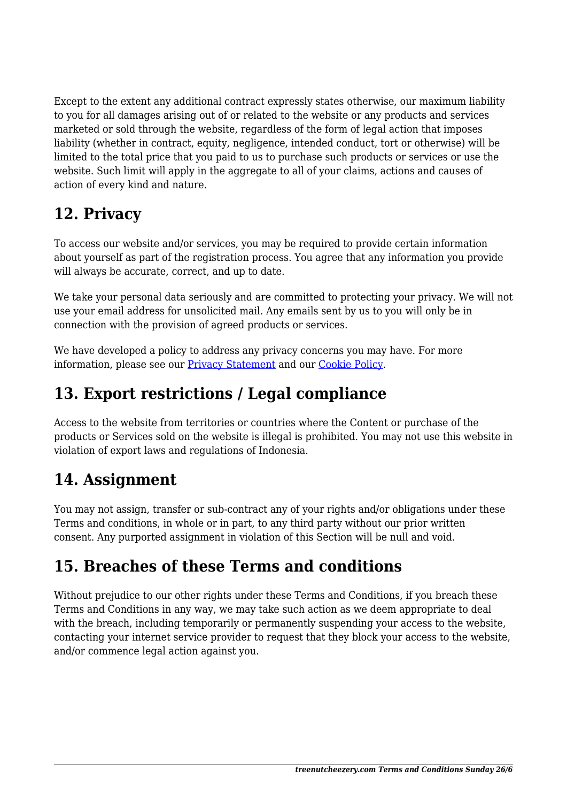Except to the extent any additional contract expressly states otherwise, our maximum liability to you for all damages arising out of or related to the website or any products and services marketed or sold through the website, regardless of the form of legal action that imposes liability (whether in contract, equity, negligence, intended conduct, tort or otherwise) will be limited to the total price that you paid to us to purchase such products or services or use the website. Such limit will apply in the aggregate to all of your claims, actions and causes of action of every kind and nature.

## **12. Privacy**

To access our website and/or services, you may be required to provide certain information about yourself as part of the registration process. You agree that any information you provide will always be accurate, correct, and up to date.

We take your personal data seriously and are committed to protecting your privacy. We will not use your email address for unsolicited mail. Any emails sent by us to you will only be in connection with the provision of agreed products or services.

We have developed a policy to address any privacy concerns you may have. For more information, please see our [Privacy Statement](https://treenutcheezery.com/wpautoterms/privacy-policy/) and our Cookie Policy.

## **13. Export restrictions / Legal compliance**

Access to the website from territories or countries where the Content or purchase of the products or Services sold on the website is illegal is prohibited. You may not use this website in violation of export laws and regulations of Indonesia.

## **14. Assignment**

You may not assign, transfer or sub-contract any of your rights and/or obligations under these Terms and conditions, in whole or in part, to any third party without our prior written consent. Any purported assignment in violation of this Section will be null and void.

# **15. Breaches of these Terms and conditions**

Without prejudice to our other rights under these Terms and Conditions, if you breach these Terms and Conditions in any way, we may take such action as we deem appropriate to deal with the breach, including temporarily or permanently suspending your access to the website, contacting your internet service provider to request that they block your access to the website, and/or commence legal action against you.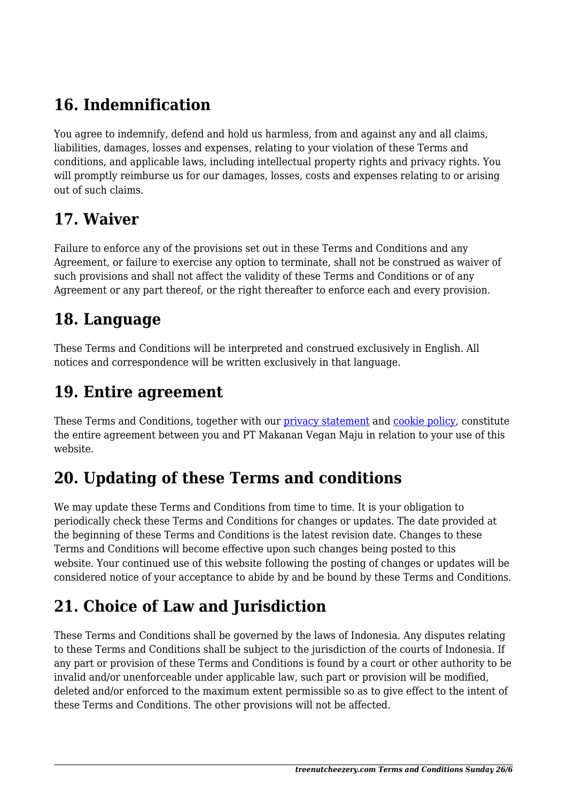# **16. Indemnification**

You agree to indemnify, defend and hold us harmless, from and against any and all claims, liabilities, damages, losses and expenses, relating to your violation of these Terms and conditions, and applicable laws, including intellectual property rights and privacy rights. You will promptly reimburse us for our damages, losses, costs and expenses relating to or arising out of such claims.

#### **17. Waiver**

Failure to enforce any of the provisions set out in these Terms and Conditions and any Agreement, or failure to exercise any option to terminate, shall not be construed as waiver of such provisions and shall not affect the validity of these Terms and Conditions or of any Agreement or any part thereof, or the right thereafter to enforce each and every provision.

## **18. Language**

These Terms and Conditions will be interpreted and construed exclusively in English. All notices and correspondence will be written exclusively in that language.

#### **19. Entire agreement**

These Terms and Conditions, together with our *[privacy statement](https://treenutcheezery.com/wpautoterms/privacy-policy/)* and *cookie policy*, constitute the entire agreement between you and PT Makanan Vegan Maju in relation to your use of this website.

# **20. Updating of these Terms and conditions**

We may update these Terms and Conditions from time to time. It is your obligation to periodically check these Terms and Conditions for changes or updates. The date provided at the beginning of these Terms and Conditions is the latest revision date. Changes to these Terms and Conditions will become effective upon such changes being posted to this website. Your continued use of this website following the posting of changes or updates will be considered notice of your acceptance to abide by and be bound by these Terms and Conditions.

# **21. Choice of Law and Jurisdiction**

These Terms and Conditions shall be governed by the laws of Indonesia. Any disputes relating to these Terms and Conditions shall be subject to the jurisdiction of the courts of Indonesia. If any part or provision of these Terms and Conditions is found by a court or other authority to be invalid and/or unenforceable under applicable law, such part or provision will be modified, deleted and/or enforced to the maximum extent permissible so as to give effect to the intent of these Terms and Conditions. The other provisions will not be affected.